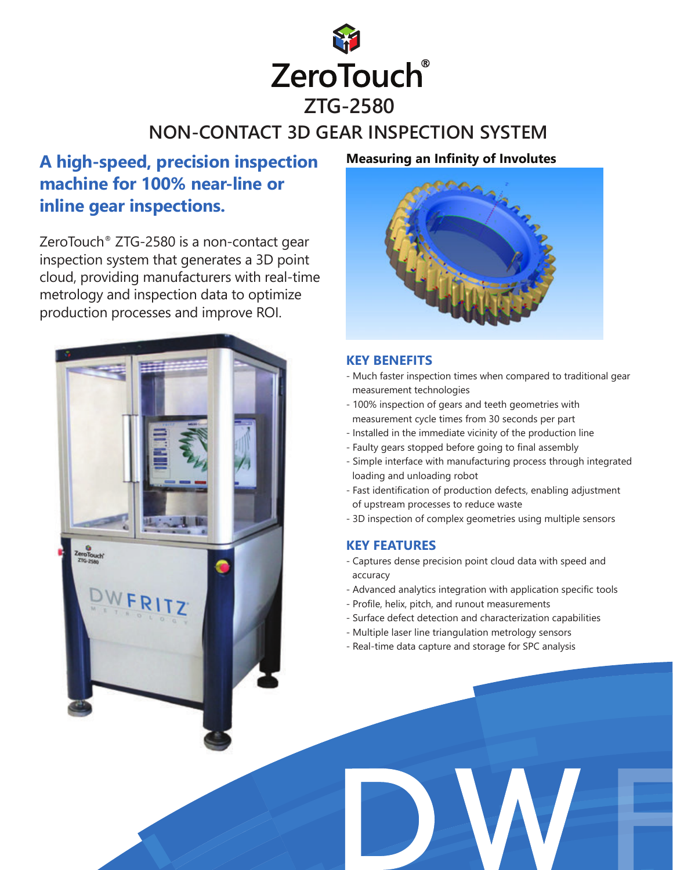

# **NON-CONTACT 3D GEAR INSPECTION SYSTEM**

## **A high-speed, precision inspection machine for 100% near-line or inline gear inspections.**

ZeroTouch® ZTG-2580 is a non-contact gear inspection system that generates a 3D point cloud, providing manufacturers with real-time metrology and inspection data to optimize production processes and improve ROI.



### **Measuring an Infinity of Involutes**



### **KEY BENEFITS**

- Much faster inspection times when compared to traditional gear measurement technologies
- 100% inspection of gears and teeth geometries with measurement cycle times from 30 seconds per part
- Installed in the immediate vicinity of the production line
- Faulty gears stopped before going to final assembly
- Simple interface with manufacturing process through integrated loading and unloading robot
- Fast identification of production defects, enabling adjustment of upstream processes to reduce waste
- 3D inspection of complex geometries using multiple sensors

### **KEY FEATURES**

- Captures dense precision point cloud data with speed and accuracy
- Advanced analytics integration with application specific tools
- Profile, helix, pitch, and runout measurements
- Surface defect detection and characterization capabilities
- Multiple laser line triangulation metrology sensors
- Real-time data capture and storage for SPC analysis